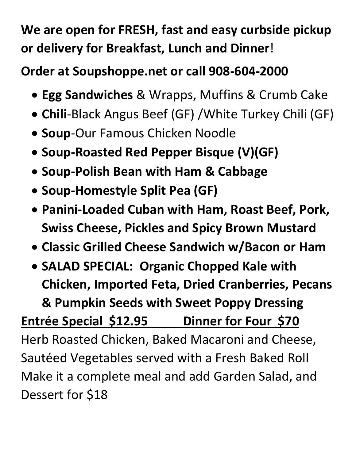## **We are open for FRESH, fast and easy curbside pickup or delivery for Breakfast, Lunch and Dinner**!

## **Order at Soupshoppe.net or call 908-604-2000**

- **Egg Sandwiches** & Wrapps, Muffins & Crumb Cake
- **Chili**-Black Angus Beef (GF) /White Turkey Chili (GF)
- **Soup**-Our Famous Chicken Noodle
- **Soup-Roasted Red Pepper Bisque (V)(GF)**
- **Soup-Polish Bean with Ham & Cabbage**
- **Soup-Homestyle Split Pea (GF)**
- **Panini-Loaded Cuban with Ham, Roast Beef, Pork, Swiss Cheese, Pickles and Spicy Brown Mustard**
- **Classic Grilled Cheese Sandwich w/Bacon or Ham**
- **SALAD SPECIAL: Organic Chopped Kale with Chicken, Imported Feta, Dried Cranberries, Pecans & Pumpkin Seeds with Sweet Poppy Dressing**

## **Entrée Special \$12.95 Dinner for Four \$70**

Herb Roasted Chicken, Baked Macaroni and Cheese, Sautéed Vegetables served with a Fresh Baked Roll Make it a complete meal and add Garden Salad, and Dessert for \$18